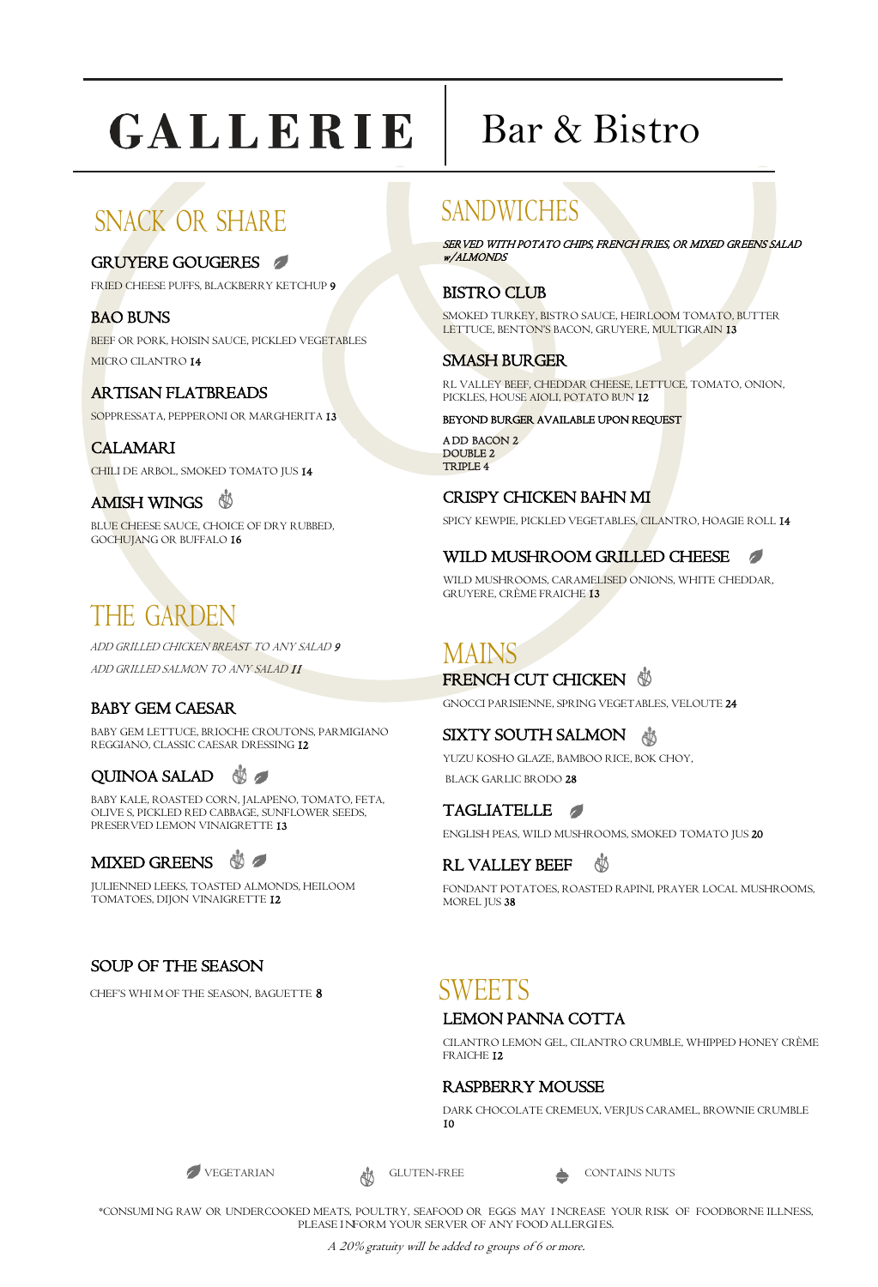# GALLERIE

# SNACK OR SHARE

#### GRUYERE GOUGERES

FRIED CHEESE PUFFS, BLACKBERRY KETCHUP 9

#### BAO BUNS

BEEF OR PORK, HOISIN SAUCE, PICKLED VEGETABLES MICRO CILANTRO 14

#### ARTISAN FLATBREADS

SOPPRESSATA, PEPPERONI OR MARGHERITA 13

#### CALAMARI

CHILI DE ARBOL, SMOKED TOMATO JUS 14

#### AMISH WINGS  $\circledS$

BLUE CHEESE SAUCE, CHOICE OF DRY RUBBED, GOCHUJANG OR BUFFALO 16

# THE GARDEN

ADD GRILLED CHICKEN BREAST TO ANY SALAD 9 ADD GRILLED SALMON TO ANY SALAD 11

#### BABY GEM CAESAR

BABY GEM LETTUCE, BRIOCHE CROUTONS, PARMIGIANO REGGIANO, CLASSIC CAESAR DRESSING 12

### QUINOA SALAD **\$**

BABY KALE, ROASTED CORN, JALAPENO, TOMATO, FETA, OLIVE S, PICKLED RED CABBAGE, SUNFLOWER SEEDS, PRESERVED LEMON VINAIGRETTE 13



JULIENNED LEEKS, TOASTED ALMONDS, HEILOOM TOMATOES, DIJON VINAIGRETTE 12

### SOUP OF THE SEASON

CHEF'S WHI M OF THE SEASON, BAGUETTE **8** 

# Bar & Bistro

## SANDWICHES

SER VED WITH POTATO CHIPS, FRENCH FRIES, OR MIXED GREENS SALAD w/ALMONDS

#### BISTRO CLUB

SMOKED TURKEY, BISTRO SAUCE, HEIRLOOM TOMATO, BUTTER LETTUCE, BENTON'S BACON, GRUYERE, MULTIGRAIN 13

#### SMASH BURGER

RL VALLEY BEEF, CHEDDAR CHEESE, LETTUCE, TOMATO, ONION, PICKLES, HOUSE AIOLI, POTATO BUN 12

BEYOND BURGER AVAILABLE UPON REQUEST

A DD BACON 2 DOUBLE 2. TRIPLE 4

#### CRISPY CHICKEN BAHN MI

SPICY KEWPIE, PICKLED VEGETABLES, CILANTRO, HOAGIE ROLL 14

#### $\sqrt{2}$ WILD MUSHROOM GRILLED CHEESE

WILD MUSHROOMS, CARAMELISED ONIONS, WHITE CHEDDAR, GRUYERE, CRÈME FRAICHE 13

## MAINS

#### FRENCH CUT CHICKEN

GNOCCI PARISIENNE, SPRING VEGETABLES, VELOUTE 24

#### SIXTY SOUTH SALMON

YUZU KOSHO GLAZE, BAMBOO RICE, BOK CHOY, BLACK GARLIC BRODO 28

TAGLIATELLE ENGLISH PEAS, WILD MUSHROOMS, SMOKED TOMATO JUS 20

#### RL VALLEY BEEF 磡

FONDANT POTATOES, ROASTED RAPINI, PRAYER LOCAL MUSHROOMS, MOREL JUS 38

## SWEETS

#### LEMON PANNA COTTA

CILANTRO LEMON GEL, CILANTRO CRUMBLE, WHIPPED HONEY CRÈME FRAICHE 12

#### RASPBERRY MOUSSE

DARK CHOCOLATE CREMEUX, VERJUS CARAMEL, BROWNIE CRUMBLE 10



VEGETARIAN GLUTEN-FREE CONTAINS NUTS

\*CONSUMI NG RAW OR UNDERCOOKED MEATS, POULTRY, SEAFOOD OR EGGS MAY I NCREASE YOUR RISK OF FOODBORNE ILLNESS, PLEASE INFORM YOUR SERVER OF ANY FOOD ALLERGIES.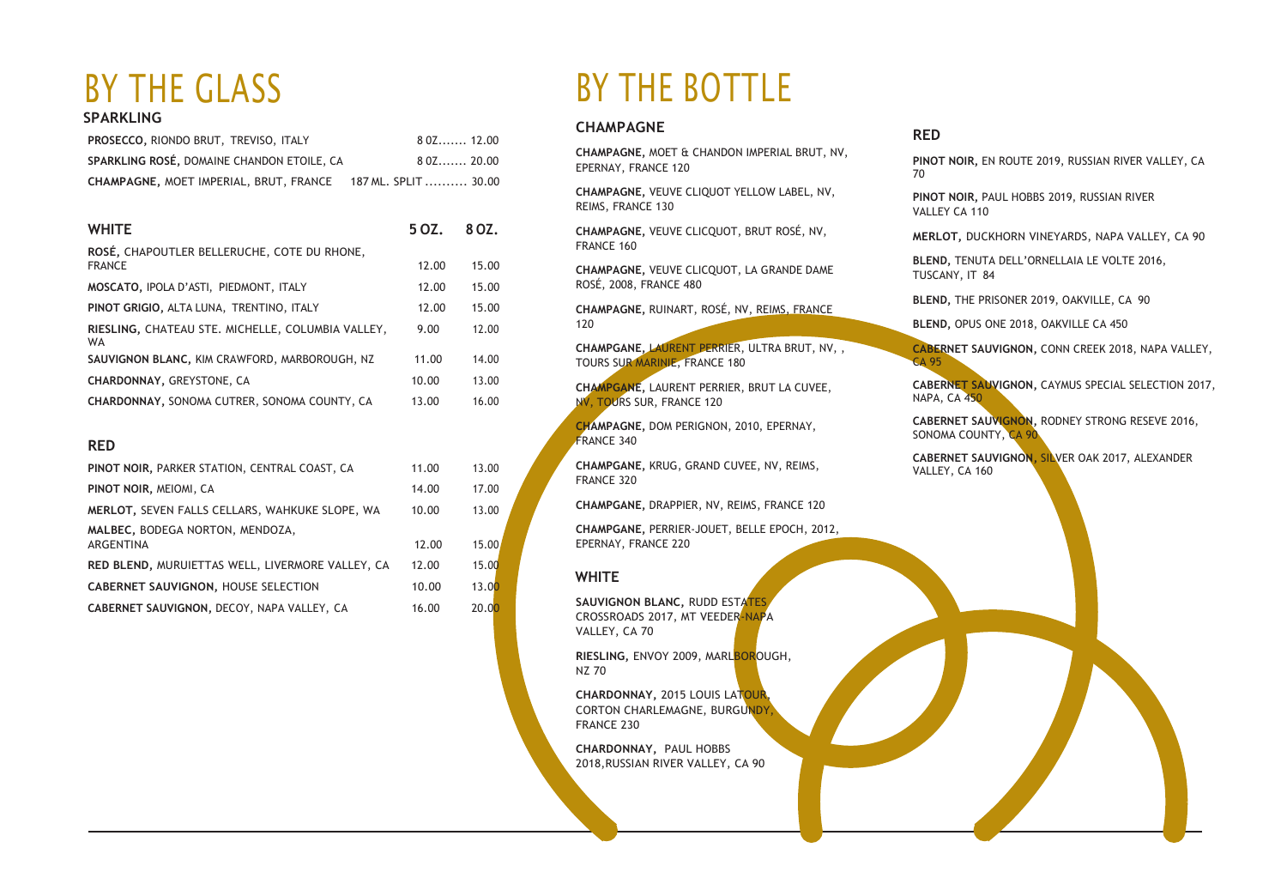#### **SPARKLING**

| <b>PROSECCO, RIONDO BRUT, TREVISO, ITALY</b>                | $80Z$ 12.00 |  |
|-------------------------------------------------------------|-------------|--|
| SPARKLING ROSÉ, DOMAINE CHANDON ETOILE, CA                  | $80Z$ 20.00 |  |
| CHAMPAGNE, MOET IMPERIAL, BRUT, FRANCE 187 ML. SPLIT  30.00 |             |  |

| <b>WHITE</b>                                                   | 5 OZ. | 8 OZ. |
|----------------------------------------------------------------|-------|-------|
| ROSÉ, CHAPOUTLER BELLERUCHE, COTE DU RHONE,<br><b>FRANCE</b>   | 12.00 | 15.00 |
| MOSCATO, IPOLA D'ASTI, PIEDMONT, ITALY                         | 12.00 | 15.00 |
| PINOT GRIGIO, ALTA LUNA, TRENTINO, ITALY                       | 12.00 | 15.00 |
| RIESLING, CHATEAU STE. MICHELLE, COLUMBIA VALLEY,<br><b>WA</b> | 9.00  | 12.00 |
| SAUVIGNON BLANC, KIM CRAWFORD, MARBOROUGH, NZ                  | 11.00 | 14.00 |
| <b>CHARDONNAY, GREYSTONE, CA</b>                               | 10.00 | 13.00 |
| <b>CHARDONNAY, SONOMA CUTRER, SONOMA COUNTY, CA</b>            | 13.00 | 16.00 |

#### **RED**

| PINOT NOIR, PARKER STATION, CENTRAL COAST, CA    | 11.00 | 13.00 |
|--------------------------------------------------|-------|-------|
| PINOT NOIR, MEIOMI, CA                           | 14.00 | 17.00 |
| MERLOT, SEVEN FALLS CELLARS, WAHKUKE SLOPE, WA   | 10.00 | 13.00 |
| MALBEC, BODEGA NORTON, MENDOZA,                  |       |       |
| ARGENTINA                                        | 12.00 | 15.00 |
| RED BLEND, MURUIETTAS WELL, LIVERMORE VALLEY, CA | 12.00 | 15.00 |
| CABERNET SAUVIGNON, HOUSE SELECTION              | 10.00 | 13.00 |
| CABERNET SAUVIGNON, DECOY, NAPA VALLEY, CA       | 16.00 | 20.00 |

# BY THE GLASS BY THE BOTTLE

#### **CHAMPAGNE**

**CHAMPAGNE,** MOET & CHANDON IMPERIAL BRUT, NV, EPERNAY, FRANCE 120

**CHAMPAGNE,** VEUVE CLIQUOT YELLOW LABEL, NV, REIMS, FRANCE 130

**CHAMPAGNE,** VEUVE CLICQUOT, BRUT ROSÉ, NV, FRANCE 160

**CHAMPAGNE,** VEUVE CLICQUOT, LA GRANDE DAME ROSÉ, 2008, FRANCE 480

**CHAMPAGNE,** RUINART, ROSÉ, NV, REIMS, FRANCE 120

**CHAMPGANE,** LAURENT PERRIER, ULTRA BRUT, NV, , TOURS SUR MARINIE, FRANCE 180

**CHAMPGANE,** LAURENT PERRIER, BRUT LA CUVEE, NV, TOURS SUR, FRANCE 120

**CHAMPAGNE,** DOM PERIGNON, 2010, EPERNAY, FRANCE 340

**CHAMPGANE,** KRUG, GRAND CUVEE, NV, REIMS, FRANCE 320

**CHAMPGANE,** DRAPPIER, NV, REIMS, FRANCE 120

**CHAMPGANE,** PERRIER-JOUET, BELLE EPOCH, 2012, EPERNAY, FRANCE 220

#### **WHITE**

**SAUVIGNON BLANC,** RUDD ESTATES CROSSROADS 2017, MT VEEDER-NAPA VALLEY, CA 70

**RIESLING,** ENVOY 2009, MARLBOROUGH, NZ 70

**CHARDONNAY,** 2015 LOUIS LATOUR, CORTON CHARLEMAGNE, BURGUNDY, FRANCE 230

**CHARDONNAY,** PAUL HOBBS 2018,RUSSIAN RIVER VALLEY, CA 90

#### **RED**

**PINOT NOIR,** EN ROUTE 2019, RUSSIAN RIVER VALLEY, CA 70

**PINOT NOIR,** PAUL HOBBS 2019, RUSSIAN RIVER VALLEY CA 110

**MERLOT,** DUCKHORN VINEYARDS, NAPA VALLEY, CA 90

**BLEND,** TENUTA DELL'ORNELLAIA LE VOLTE 2016, TUSCANY, IT 84

**BLEND,** THE PRISONER 2019, OAKVILLE, CA 90

**BLEND,** OPUS ONE 2018, OAKVILLE CA 450

**CABERNET SAUVIGNON,** CONN CREEK 2018, NAPA VALLEY, CA 95

**CABERNET SAUVIGNON,** CAYMUS SPECIAL SELECTION 2017, NAPA, CA 450

**CABERNET SAUVIGNON,** RODNEY STRONG RESEVE 2016, SONOMA COUNTY, CA 90

**CABERNET SAUVIGNON,** SILVER OAK 2017, ALEXANDER VALLEY, CA 160